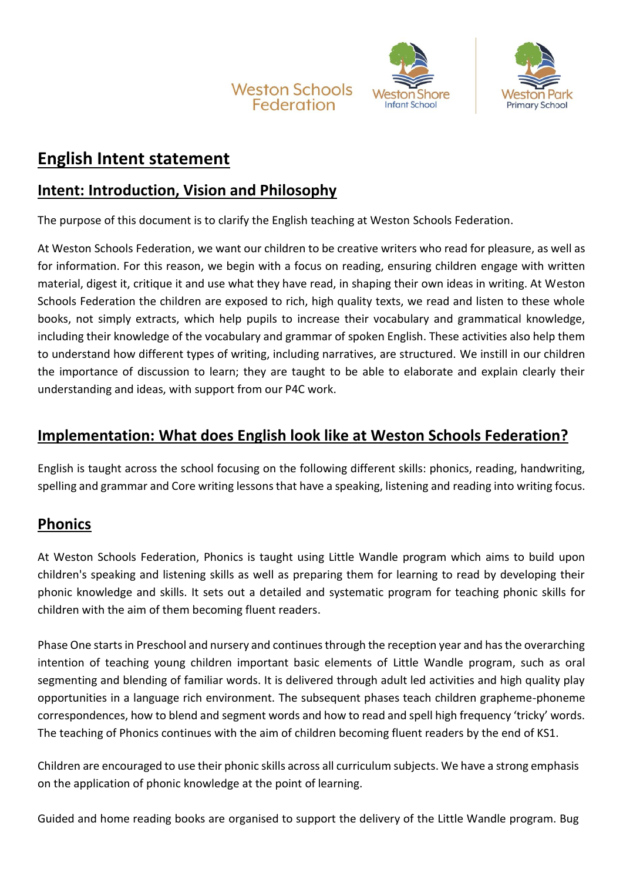



# **English Intent statement**

# **Intent: Introduction, Vision and Philosophy**

The purpose of this document is to clarify the English teaching at Weston Schools Federation.

At Weston Schools Federation, we want our children to be creative writers who read for pleasure, as well as for information. For this reason, we begin with a focus on reading, ensuring children engage with written material, digest it, critique it and use what they have read, in shaping their own ideas in writing. At Weston Schools Federation the children are exposed to rich, high quality texts, we read and listen to these whole books, not simply extracts, which help pupils to increase their vocabulary and grammatical knowledge, including their knowledge of the vocabulary and grammar of spoken English. These activities also help them to understand how different types of writing, including narratives, are structured. We instill in our children the importance of discussion to learn; they are taught to be able to elaborate and explain clearly their understanding and ideas, with support from our P4C work.

# **Implementation: What does English look like at Weston Schools Federation?**

English is taught across the school focusing on the following different skills: phonics, reading, handwriting, spelling and grammar and Core writing lessons that have a speaking, listening and reading into writing focus.

# **Phonics**

At Weston Schools Federation, Phonics is taught using Little Wandle program which aims to build upon children's speaking and listening skills as well as preparing them for learning to read by developing their phonic knowledge and skills. It sets out a detailed and systematic program for teaching phonic skills for children with the aim of them becoming fluent readers.

Phase One starts in Preschool and nursery and continues through the reception year and has the overarching intention of teaching young children important basic elements of Little Wandle program, such as oral segmenting and blending of familiar words. It is delivered through adult led activities and high quality play opportunities in a language rich environment. The subsequent phases teach children grapheme-phoneme correspondences, how to blend and segment words and how to read and spell high frequency 'tricky' words. The teaching of Phonics continues with the aim of children becoming fluent readers by the end of KS1.

Children are encouraged to use their phonic skills across all curriculum subjects. We have a strong emphasis on the application of phonic knowledge at the point of learning.

Guided and home reading books are organised to support the delivery of the Little Wandle program. Bug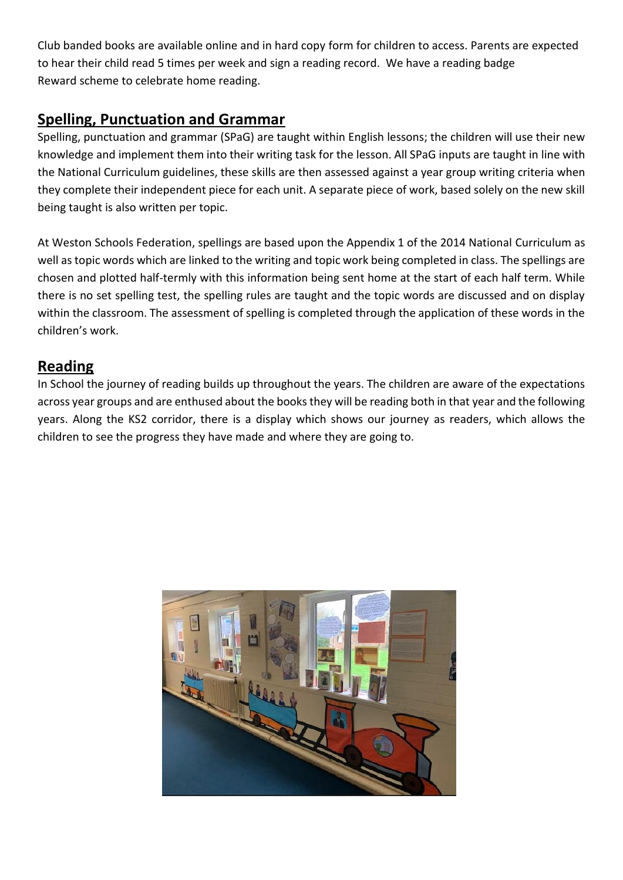Club banded books are available online and in hard copy form for children to access. Parents are expected to hear their child read 5 times per week and sign a reading record. We have a reading badge Reward scheme to celebrate home reading.

# **Spelling, Punctuation and Grammar**

Spelling, punctuation and grammar (SPaG) are taught within English lessons; the children will use their new knowledge and implement them into their writing task for the lesson. All SPaG inputs are taught in line with the National Curriculum guidelines, these skills are then assessed against a year group writing criteria when they complete their independent piece for each unit. A separate piece of work, based solely on the new skill being taught is also written per topic.

At Weston Schools Federation, spellings are based upon the Appendix 1 of the 2014 National Curriculum as well as topic words which are linked to the writing and topic work being completed in class. The spellings are chosen and plotted half-termly with this information being sent home at the start of each half term. While there is no set spelling test, the spelling rules are taught and the topic words are discussed and on display within the classroom. The assessment of spelling is completed through the application of these words in the children's work.

## **Reading**

In School the journey of reading builds up throughout the years. The children are aware of the expectations across year groups and are enthused about the books they will be reading both in that year and the following years. Along the KS2 corridor, there is a display which shows our journey as readers, which allows the children to see the progress they have made and where they are going to.

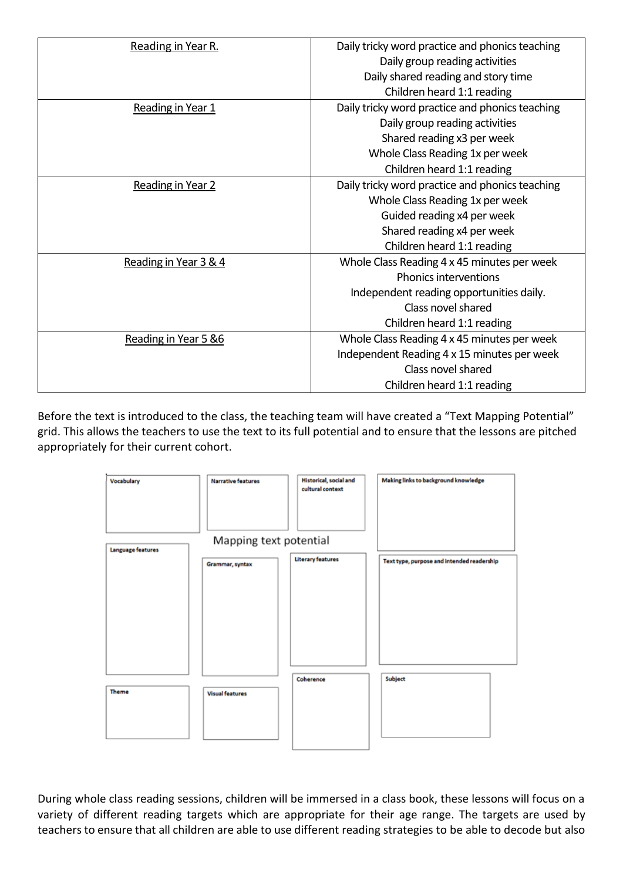| Reading in Year R.       | Daily tricky word practice and phonics teaching |
|--------------------------|-------------------------------------------------|
|                          | Daily group reading activities                  |
|                          | Daily shared reading and story time             |
|                          | Children heard 1:1 reading                      |
| Reading in Year 1        | Daily tricky word practice and phonics teaching |
|                          | Daily group reading activities                  |
|                          | Shared reading x3 per week                      |
|                          | Whole Class Reading 1x per week                 |
|                          | Children heard 1:1 reading                      |
| <b>Reading in Year 2</b> | Daily tricky word practice and phonics teaching |
|                          | Whole Class Reading 1x per week                 |
|                          | Guided reading x4 per week                      |
|                          | Shared reading x4 per week                      |
|                          | Children heard 1:1 reading                      |
| Reading in Year 3 & 4    | Whole Class Reading 4 x 45 minutes per week     |
|                          | Phonics interventions                           |
|                          | Independent reading opportunities daily.        |
|                          | Class novel shared                              |
|                          | Children heard 1:1 reading                      |
| Reading in Year 5 &6     | Whole Class Reading 4 x 45 minutes per week     |
|                          | Independent Reading 4 x 15 minutes per week     |
|                          | Class novel shared                              |
|                          | Children heard 1:1 reading                      |

Before the text is introduced to the class, the teaching team will have created a "Text Mapping Potential" grid. This allows the teachers to use the text to its full potential and to ensure that the lessons are pitched appropriately for their current cohort.



During whole class reading sessions, children will be immersed in a class book, these lessons will focus on a variety of different reading targets which are appropriate for their age range. The targets are used by teachers to ensure that all children are able to use different reading strategies to be able to decode but also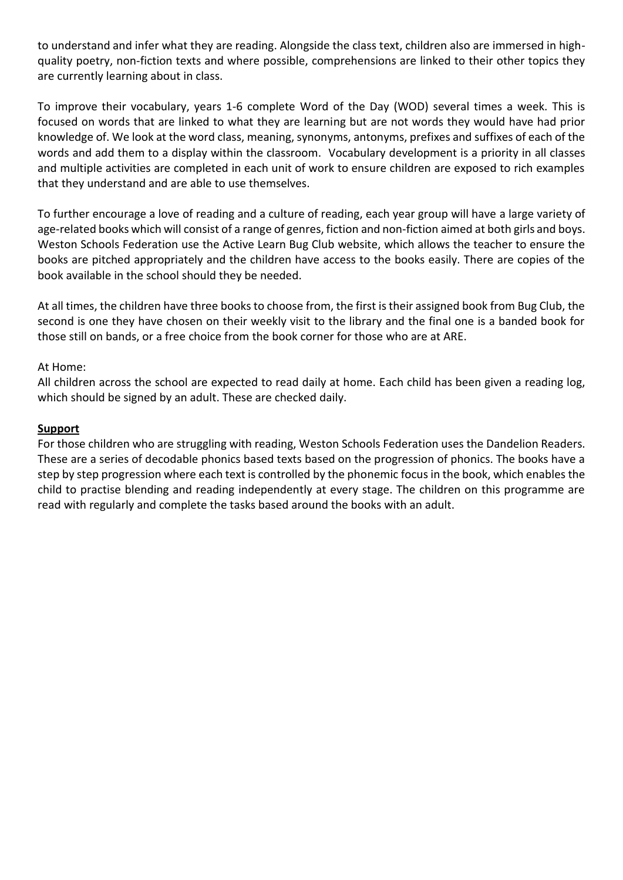to understand and infer what they are reading. Alongside the class text, children also are immersed in highquality poetry, non-fiction texts and where possible, comprehensions are linked to their other topics they are currently learning about in class.

To improve their vocabulary, years 1-6 complete Word of the Day (WOD) several times a week. This is focused on words that are linked to what they are learning but are not words they would have had prior knowledge of. We look at the word class, meaning, synonyms, antonyms, prefixes and suffixes of each of the words and add them to a display within the classroom. Vocabulary development is a priority in all classes and multiple activities are completed in each unit of work to ensure children are exposed to rich examples that they understand and are able to use themselves.

To further encourage a love of reading and a culture of reading, each year group will have a large variety of age-related books which will consist of a range of genres, fiction and non-fiction aimed at both girls and boys. Weston Schools Federation use the Active Learn Bug Club website, which allows the teacher to ensure the books are pitched appropriately and the children have access to the books easily. There are copies of the book available in the school should they be needed.

At all times, the children have three books to choose from, the first is their assigned book from Bug Club, the second is one they have chosen on their weekly visit to the library and the final one is a banded book for those still on bands, or a free choice from the book corner for those who are at ARE.

#### At Home:

All children across the school are expected to read daily at home. Each child has been given a reading log, which should be signed by an adult. These are checked daily.

#### **Support**

For those children who are struggling with reading, Weston Schools Federation uses the Dandelion Readers. These are a series of decodable phonics based texts based on the progression of phonics. The books have a step by step progression where each text is controlled by the phonemic focus in the book, which enables the child to practise blending and reading independently at every stage. The children on this programme are read with regularly and complete the tasks based around the books with an adult.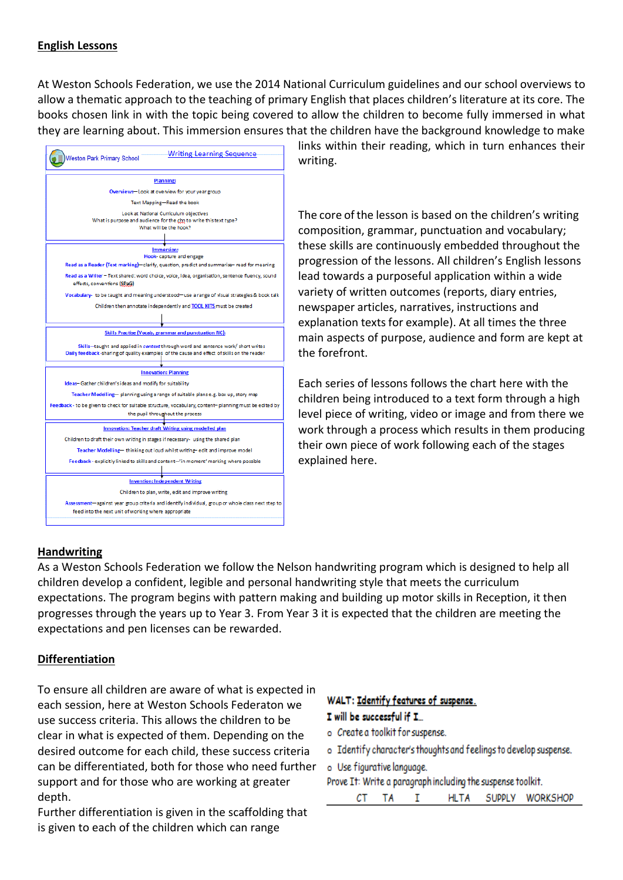### **English Lessons**

At Weston Schools Federation, we use the 2014 National Curriculum guidelines and our school overviews to allow a thematic approach to the teaching of primary English that places children's literature at its core. The books chosen link in with the topic being covered to allow the children to become fully immersed in what they are learning about. This immersion ensures that the children have the background knowledge to make



links within their reading, which in turn enhances their writing.

The core of the lesson is based on the children's writing composition, grammar, punctuation and vocabulary; these skills are continuously embedded throughout the progression of the lessons. All children's English lessons lead towards a purposeful application within a wide variety of written outcomes (reports, diary entries, newspaper articles, narratives, instructions and explanation texts for example). At all times the three main aspects of purpose, audience and form are kept at the forefront.

Each series of lessons follows the chart here with the children being introduced to a text form through a high level piece of writing, video or image and from there we work through a process which results in them producing their own piece of work following each of the stages explained here.

### **Handwriting**

As a Weston Schools Federation we follow the Nelson handwriting program which is designed to help all children develop a confident, legible and personal handwriting style that meets the curriculum expectations. The program begins with pattern making and building up motor skills in Reception, it then progresses through the years up to Year 3. From Year 3 it is expected that the children are meeting the expectations and pen licenses can be rewarded.

### **Differentiation**

To ensure all children are aware of what is expected in each session, here at Weston Schools Federaton we use success criteria. This allows the children to be clear in what is expected of them. Depending on the desired outcome for each child, these success criteria can be differentiated, both for those who need further support and for those who are working at greater depth.

Further differentiation is given in the scaffolding that is given to each of the children which can range

#### WALT: Identify features of suspense. I will be successful if I...

- o Create a toolkit for suspense.
- o Identify character's thoughts and feelings to develop suspense.

| o Use figurative language. |                                                             |  |
|----------------------------|-------------------------------------------------------------|--|
|                            | Prove It: Write a paragraph including the suspense toolkit. |  |

|  |  | HLTA | SUPPLY WORKSHOP |
|--|--|------|-----------------|
|  |  |      |                 |